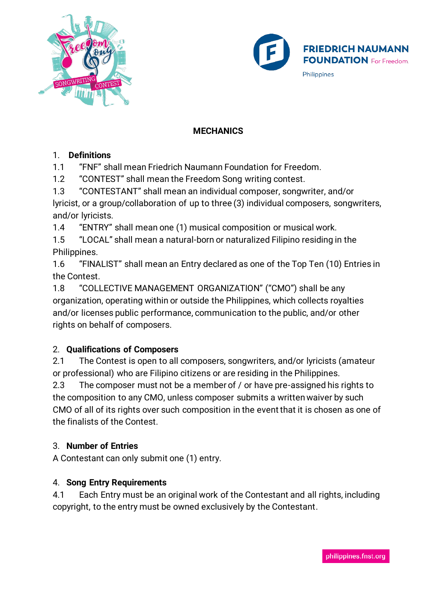



#### **MECHANICS**

#### 1. **Definitions**

1.1 "FNF" shall mean Friedrich Naumann Foundation for Freedom.

1.2 "CONTEST" shall mean the Freedom Song writing contest.

1.3 "CONTESTANT" shall mean an individual composer, songwriter, and/or lyricist, or a group/collaboration of up to three (3) individual composers, songwriters, and/or lyricists.

1.4 "ENTRY" shall mean one (1) musical composition or musical work.

1.5 "LOCAL" shall mean a natural-born or naturalized Filipino residing in the Philippines.

1.6 "FINALIST" shall mean an Entry declared as one of the Top Ten (10) Entries in the Contest.

1.8 "COLLECTIVE MANAGEMENT ORGANIZATION" ("CMO") shall be any organization, operating within or outside the Philippines, which collects royalties and/or licenses public performance, communication to the public, and/or other rights on behalf of composers.

# 2. **Qualifications of Composers**

2.1 The Contest is open to all composers, songwriters, and/or lyricists (amateur or professional) who are Filipino citizens or are residing in the Philippines.

2.3 The composer must not be a member of / or have pre-assigned his rights to the composition to any CMO, unless composer submits a written waiver by such CMO of all of its rights over such composition in the event that it is chosen as one of the finalists of the Contest.

# 3. **Number of Entries**

A Contestant can only submit one (1) entry.

# 4. **Song Entry Requirements**

4.1 Each Entry must be an original work of the Contestant and all rights, including copyright, to the entry must be owned exclusively by the Contestant.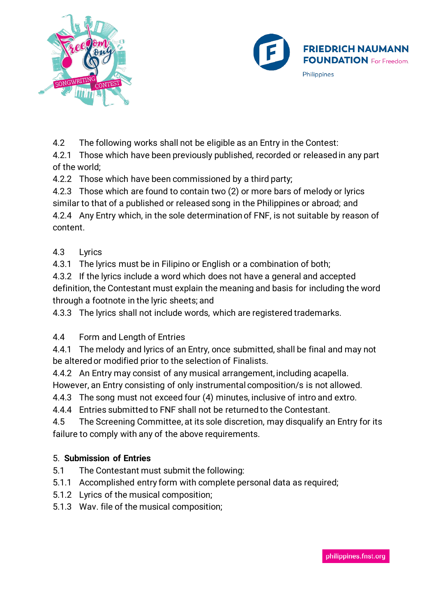



4.2 The following works shall not be eligible as an Entry in the Contest:

4.2.1 Those which have been previously published, recorded or released in any part of the world;

4.2.2 Those which have been commissioned by a third party;

4.2.3 Those which are found to contain two (2) or more bars of melody or lyrics similar to that of a published or released song in the Philippines or abroad; and 4.2.4 Any Entry which, in the sole determination of FNF, is not suitable by reason of content.

#### 4.3 Lyrics

4.3.1 The lyrics must be in Filipino or English or a combination of both;

4.3.2 If the lyrics include a word which does not have a general and accepted definition, the Contestant must explain the meaning and basis for including the word through a footnote in the lyric sheets; and

4.3.3 The lyrics shall not include words, which are registered trademarks.

# 4.4 Form and Length of Entries

4.4.1 The melody and lyrics of an Entry, once submitted, shall be final and may not be altered or modified prior to the selection of Finalists.

4.4.2 An Entry may consist of any musical arrangement, including acapella. However, an Entry consisting of only instrumental composition/s is not allowed.

4.4.3 The song must not exceed four (4) minutes, inclusive of intro and extro.

4.4.4 Entries submitted to FNF shall not be returned to the Contestant.

4.5 The Screening Committee, at its sole discretion, may disqualify an Entry for its failure to comply with any of the above requirements.

# 5. **Submission of Entries**

- 5.1 The Contestant must submit the following:
- 5.1.1 Accomplished entry form with complete personal data as required;
- 5.1.2 Lyrics of the musical composition;
- 5.1.3 Wav. file of the musical composition;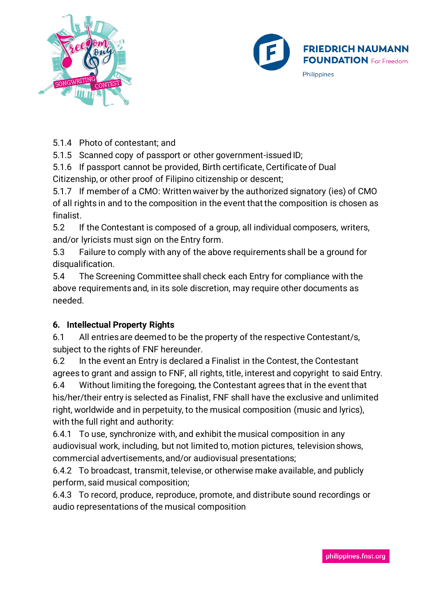



5.1.4 Photo of contestant; and

5.1.5 Scanned copy of passport or other government-issued ID;

5.1.6 If passport cannot be provided, Birth certificate, Certificate of Dual Citizenship, or other proof of Filipino citizenship or descent;

5.1.7 If member of a CMO: Written waiver by the authorized signatory (ies) of CMO of all rights in and to the composition in the event that the composition is chosen as finalist.

5.2 If the Contestant is composed of a group, all individual composers, writers, and/or lyricists must sign on the Entry form.

5.3 Failure to comply with any of the above requirements shall be a ground for disqualification.

5.4 The Screening Committee shall check each Entry for compliance with the above requirements and, in its sole discretion, may require other documents as needed.

# **6. Intellectual Property Rights**

6.1 All entries are deemed to be the property of the respective Contestant/s, subject to the rights of FNF hereunder.

6.2 In the event an Entry is declared a Finalist in the Contest, the Contestant agrees to grant and assign to FNF, all rights, title, interest and copyright to said Entry.

6.4 Without limiting the foregoing, the Contestant agrees that in the event that his/her/their entry is selected as Finalist, FNF shall have the exclusive and unlimited right, worldwide and in perpetuity, to the musical composition (music and lyrics), with the full right and authority:

6.4.1 To use, synchronize with, and exhibit the musical composition in any audiovisual work, including, but not limited to, motion pictures, television shows, commercial advertisements, and/or audiovisual presentations;

6.4.2 To broadcast, transmit, televise, or otherwise make available, and publicly perform, said musical composition;

6.4.3 To record, produce, reproduce, promote, and distribute sound recordings or audio representations of the musical composition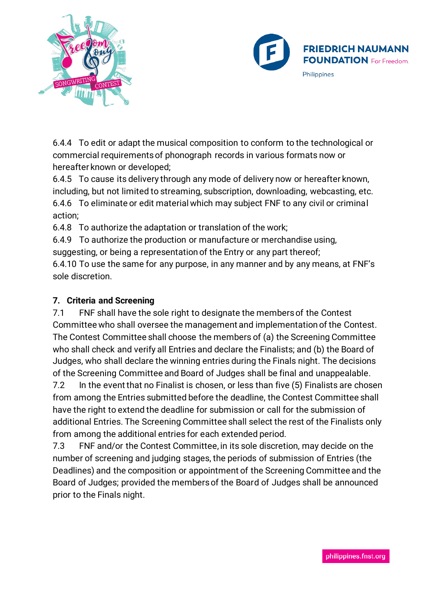



6.4.4 To edit or adapt the musical composition to conform to the technological or commercial requirements of phonograph records in various formats now or hereafter known or developed;

6.4.5 To cause its delivery through any mode of delivery now or hereafter known, including, but not limited to streaming, subscription, downloading, webcasting, etc. 6.4.6 To eliminate or edit material which may subject FNF to any civil or criminal action;

6.4.8 To authorize the adaptation or translation of the work;

6.4.9 To authorize the production or manufacture or merchandise using, suggesting, or being a representation of the Entry or any part thereof;

6.4.10 To use the same for any purpose, in any manner and by any means, at FNF's sole discretion.

# **7. Criteria and Screening**

7.1 FNF shall have the sole right to designate the members of the Contest Committee who shall oversee the management and implementation of the Contest. The Contest Committee shall choose the members of (a) the Screening Committee who shall check and verify all Entries and declare the Finalists; and (b) the Board of Judges, who shall declare the winning entries during the Finals night. The decisions of the Screening Committee and Board of Judges shall be final and unappealable.

7.2 In the event that no Finalist is chosen, or less than five (5) Finalists are chosen from among the Entries submitted before the deadline, the Contest Committee shall have the right to extend the deadline for submission or call for the submission of additional Entries. The Screening Committee shall select the rest of the Finalists only from among the additional entries for each extended period.

7.3 FNF and/or the Contest Committee, in its sole discretion, may decide on the number of screening and judging stages, the periods of submission of Entries (the Deadlines) and the composition or appointment of the Screening Committee and the Board of Judges; provided the members of the Board of Judges shall be announced prior to the Finals night.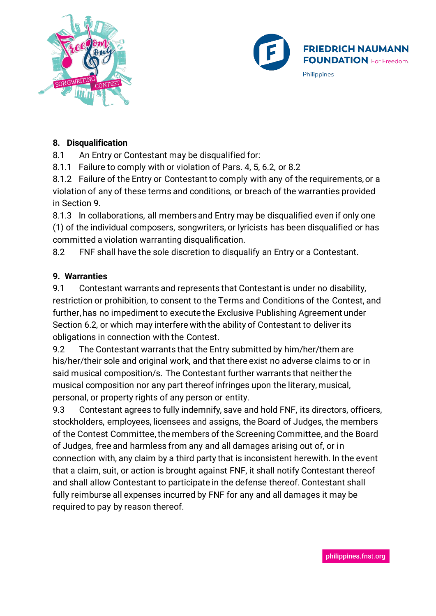



#### **8. Disqualification**

8.1 An Entry or Contestant may be disqualified for:

8.1.1 Failure to comply with or violation of Pars. 4, 5, 6.2, or 8.2

8.1.2 Failure of the Entry or Contestant to comply with any of the requirements, or a violation of any of these terms and conditions, or breach of the warranties provided in Section 9.

8.1.3 In collaborations, all members and Entry may be disqualified even if only one (1) of the individual composers, songwriters, or lyricists has been disqualified or has committed a violation warranting disqualification.

8.2 FNF shall have the sole discretion to disqualify an Entry or a Contestant.

#### **9. Warranties**

9.1 Contestant warrants and represents that Contestant is under no disability, restriction or prohibition, to consent to the Terms and Conditions of the Contest, and further, has no impediment to execute the Exclusive Publishing Agreement under Section 6.2, or which may interfere with the ability of Contestant to deliver its obligations in connection with the Contest.

9.2 The Contestant warrants that the Entry submitted by him/her/them are his/her/their sole and original work, and that there exist no adverse claims to or in said musical composition/s. The Contestant further warrants that neither the musical composition nor any part thereof infringes upon the literary, musical, personal, or property rights of any person or entity.

9.3 Contestant agrees to fully indemnify, save and hold FNF, its directors, officers, stockholders, employees, licensees and assigns, the Board of Judges, the members of the Contest Committee, the members of the Screening Committee, and the Board of Judges, free and harmless from any and all damages arising out of, or in connection with, any claim by a third party that is inconsistent herewith. In the event that a claim, suit, or action is brought against FNF, it shall notify Contestant thereof and shall allow Contestant to participate in the defense thereof. Contestant shall fully reimburse all expenses incurred by FNF for any and all damages it may be required to pay by reason thereof.